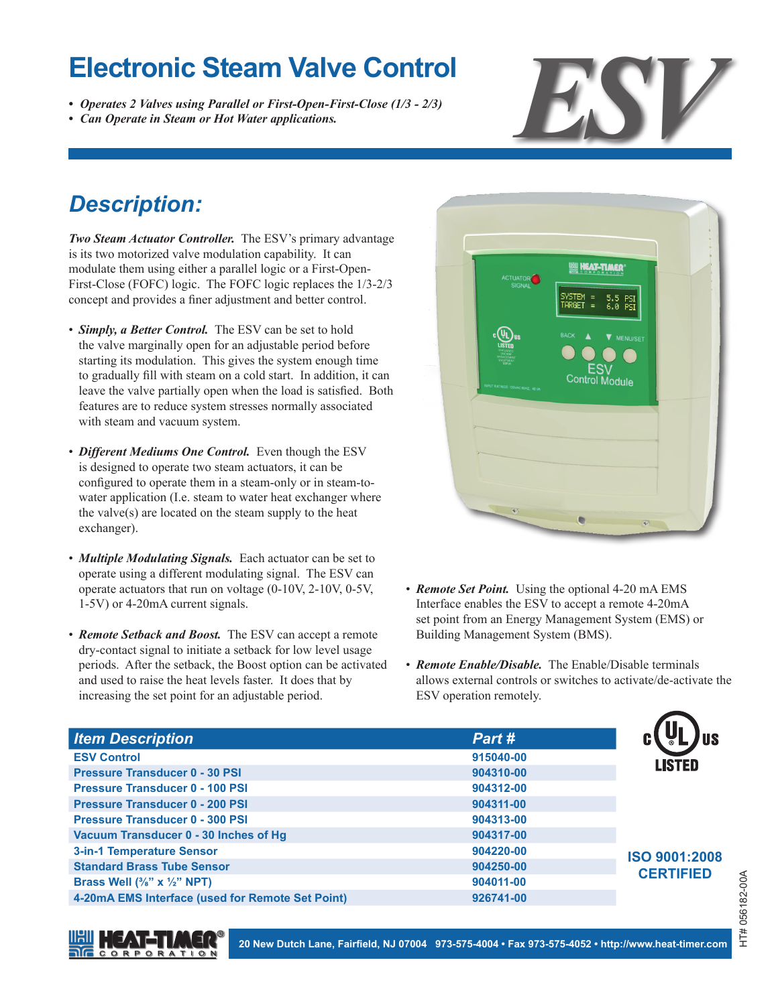- *• Operates 2 Valves using Parallel or First-Open-First-Close (1/3 2/3)*
- 



## *Description:*

*Two Steam Actuator Controller.* The ESV's primary advantage is its two motorized valve modulation capability. It can modulate them using either a parallel logic or a First-Open-First-Close (FOFC) logic. The FOFC logic replaces the 1/3-2/3 concept and provides a finer adjustment and better control.

- *Simply, a Better Control.* The ESV can be set to hold the valve marginally open for an adjustable period before starting its modulation. This gives the system enough time to gradually fill with steam on a cold start. In addition, it can leave the valve partially open when the load is satisfied. Both features are to reduce system stresses normally associated with steam and vacuum system.
- *Different Mediums One Control.* Even though the ESV is designed to operate two steam actuators, it can be configured to operate them in a steam-only or in steam-towater application (I.e. steam to water heat exchanger where the valve(s) are located on the steam supply to the heat exchanger).
- *Multiple Modulating Signals.* Each actuator can be set to operate using a different modulating signal. The ESV can operate actuators that run on voltage (0-10V, 2-10V, 0-5V, 1-5V) or 4-20mA current signals.
- *Remote Setback and Boost.* The ESV can accept a remote dry-contact signal to initiate a setback for low level usage periods. After the setback, the Boost option can be activated and used to raise the heat levels faster. It does that by increasing the set point for an adjustable period.



- *Remote Set Point.* Using the optional 4-20 mA EMS Interface enables the ESV to accept a remote 4-20mA set point from an Energy Management System (EMS) or Building Management System (BMS).
- *Remote Enable/Disable.* The Enable/Disable terminals allows external controls or switches to activate/de-activate the ESV operation remotely.

| <b>Item Description</b>                          | Part #    |                                   |
|--------------------------------------------------|-----------|-----------------------------------|
| <b>ESV Control</b>                               | 915040-00 | <b>LISTED</b>                     |
| <b>Pressure Transducer 0 - 30 PSI</b>            | 904310-00 |                                   |
| <b>Pressure Transducer 0 - 100 PSI</b>           | 904312-00 |                                   |
| <b>Pressure Transducer 0 - 200 PSI</b>           | 904311-00 |                                   |
| <b>Pressure Transducer 0 - 300 PSI</b>           | 904313-00 |                                   |
| Vacuum Transducer 0 - 30 Inches of Hq            | 904317-00 | ISO 9001:2008<br><b>CERTIFIED</b> |
| <b>3-in-1 Temperature Sensor</b>                 | 904220-00 |                                   |
| <b>Standard Brass Tube Sensor</b>                | 904250-00 |                                   |
| Brass Well $(3/8" \times 1/2"$ NPT)              | 904011-00 |                                   |
| 4-20mA EMS Interface (used for Remote Set Point) | 926741-00 |                                   |



**20 New Dutch Lane, Fairfield, NJ 07004 973-575-4004 • Fax 973-575-4052 • <http://www.heat-timer.com>**